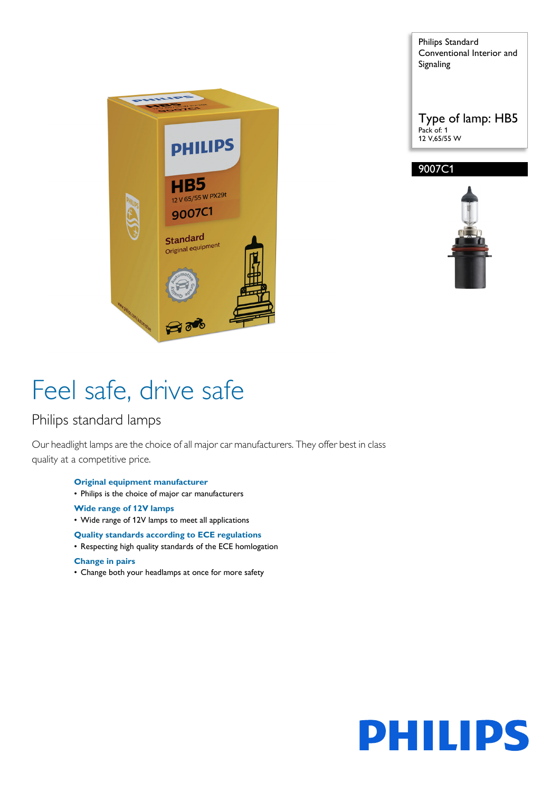

Philips Standard Conventional Interior and Signaling

Type of lamp: HB5 Pack of: 1 12 V,65/55 W





# Feel safe, drive safe

### Philips standard lamps

Our headlight lamps are the choice of all major car manufacturers. They offer best in class quality at a competitive price.

- **Original equipment manufacturer**
- Philips is the choice of major car manufacturers
- **Wide range of 12V lamps**
- Wide range of 12V lamps to meet all applications

#### **Quality standards according to ECE regulations**

• Respecting high quality standards of the ECE homlogation

#### **Change in pairs**

• Change both your headlamps at once for more safety